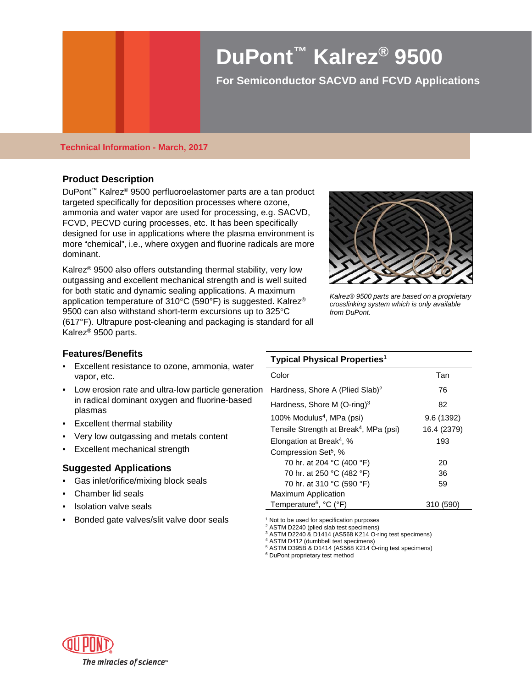# **DuPont™ Kalrez® 9500**

**For Semiconductor SACVD and FCVD Applications** 

### **Technical Information - March, 2017**

# **Product Description**

DuPont™ Kalrez® 9500 perfluoroelastomer parts are a tan product targeted specifically for deposition processes where ozone, ammonia and water vapor are used for processing, e.g. SACVD, FCVD, PECVD curing processes, etc. It has been specifically designed for use in applications where the plasma environment is more "chemical", i.e., where oxygen and fluorine radicals are more dominant.

Kalrez® 9500 also offers outstanding thermal stability, very low outgassing and excellent mechanical strength and is well suited for both static and dynamic sealing applications. A maximum application temperature of 310°C (590°F) is suggested. Kalrez® 9500 can also withstand short-term excursions up to 325°C (617°F). Ultrapure post-cleaning and packaging is standard for all Kalrez® 9500 parts.



*Kalrez® 9500 parts are based on a proprietary crosslinking system which is only available from DuPont.*

# **Features/Benefits**

- Excellent resistance to ozone, ammonia, water vapor, etc.
- Low erosion rate and ultra-low particle generation in radical dominant oxygen and fluorine-based plasmas
- Excellent thermal stability
- Very low outgassing and metals content
- Excellent mechanical strength

# **Suggested Applications**

- Gas inlet/orifice/mixing block seals
- Chamber lid seals
- Isolation valve seals
- Bonded gate valves/slit valve door seals

### **Typical Physical Properties1**

| Color                                              | Tan         |
|----------------------------------------------------|-------------|
| Hardness, Shore A (Plied Slab) <sup>2</sup>        | 76          |
| Hardness, Shore M (O-ring) <sup>3</sup>            | 82          |
| 100% Modulus <sup>4</sup> , MPa (psi)              | 9.6 (1392)  |
| Tensile Strength at Break <sup>4</sup> , MPa (psi) | 16.4 (2379) |
| Elongation at Break <sup>4</sup> , %               | 193         |
| Compression Set <sup>5</sup> , %                   |             |
| 70 hr. at 204 °C (400 °F)                          | 20          |
| 70 hr. at 250 °C (482 °F)                          | 36          |
| 70 hr. at 310 °C (590 °F)                          | 59          |
| <b>Maximum Application</b>                         |             |
| Temperature <sup>6</sup> , °C (°F)                 | 310 (590)   |

<sup>1</sup> Not to be used for specification purposes

<sup>2</sup> ASTM D2240 (plied slab test specimens)

<sup>3</sup> ASTM D2240 & D1414 (AS568 K214 O-ring test specimens)

<sup>4</sup> ASTM D412 (dumbbell test specimens)

 $5$  ASTM D395B & D1414 (AS568 K214 O-ring test specimens)

<sup>6</sup> DuPont proprietary test method